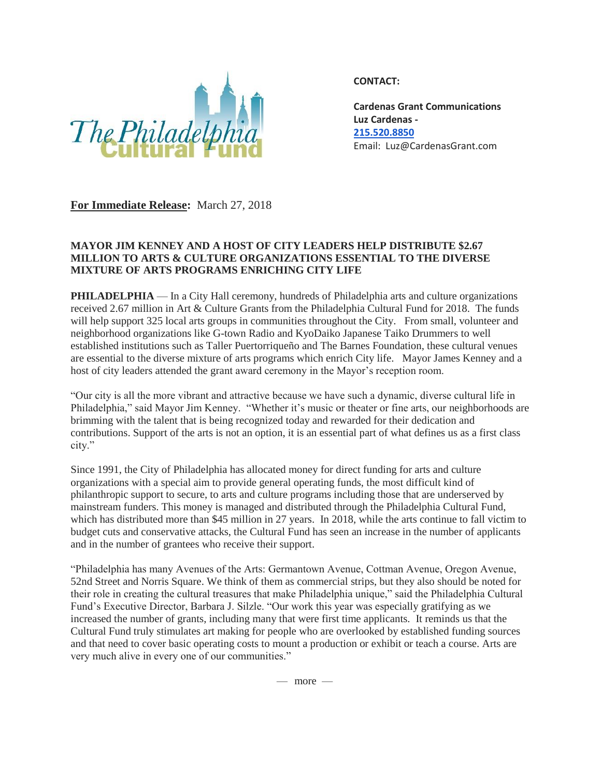

**CONTACT:**

**Cardenas Grant Communications Luz Cardenas - [215.520.8850](tel:(215)%20520-8850)** Email: Luz@CardenasGrant.com

**For Immediate Release:** March 27, 2018

## **MAYOR JIM KENNEY AND A HOST OF CITY LEADERS HELP DISTRIBUTE \$2.67 MILLION TO ARTS & CULTURE ORGANIZATIONS ESSENTIAL TO THE DIVERSE MIXTURE OF ARTS PROGRAMS ENRICHING CITY LIFE**

**PHILADELPHIA** — In a City Hall ceremony, hundreds of Philadelphia arts and culture organizations received 2.67 million in Art & Culture Grants from the Philadelphia Cultural Fund for 2018. The funds will help support 325 local arts groups in communities throughout the City. From small, volunteer and neighborhood organizations like G-town Radio and KyoDaiko Japanese Taiko Drummers to well established institutions such as Taller Puertorriqueño and The Barnes Foundation, these cultural venues are essential to the diverse mixture of arts programs which enrich City life. Mayor James Kenney and a host of city leaders attended the grant award ceremony in the Mayor's reception room.

"Our city is all the more vibrant and attractive because we have such a dynamic, diverse cultural life in Philadelphia," said Mayor Jim Kenney. "Whether it's music or theater or fine arts, our neighborhoods are brimming with the talent that is being recognized today and rewarded for their dedication and contributions. Support of the arts is not an option, it is an essential part of what defines us as a first class city."

Since 1991, the City of Philadelphia has allocated money for direct funding for arts and culture organizations with a special aim to provide general operating funds, the most difficult kind of philanthropic support to secure, to arts and culture programs including those that are underserved by mainstream funders. This money is managed and distributed through the Philadelphia Cultural Fund, which has distributed more than \$45 million in 27 years. In 2018, while the arts continue to fall victim to budget cuts and conservative attacks, the Cultural Fund has seen an increase in the number of applicants and in the number of grantees who receive their support.

"Philadelphia has many Avenues of the Arts: Germantown Avenue, Cottman Avenue, Oregon Avenue, 52nd Street and Norris Square. We think of them as commercial strips, but they also should be noted for their role in creating the cultural treasures that make Philadelphia unique," said the Philadelphia Cultural Fund's Executive Director, Barbara J. Silzle. "Our work this year was especially gratifying as we increased the number of grants, including many that were first time applicants. It reminds us that the Cultural Fund truly stimulates art making for people who are overlooked by established funding sources and that need to cover basic operating costs to mount a production or exhibit or teach a course. Arts are very much alive in every one of our communities."

 $-$  more  $-$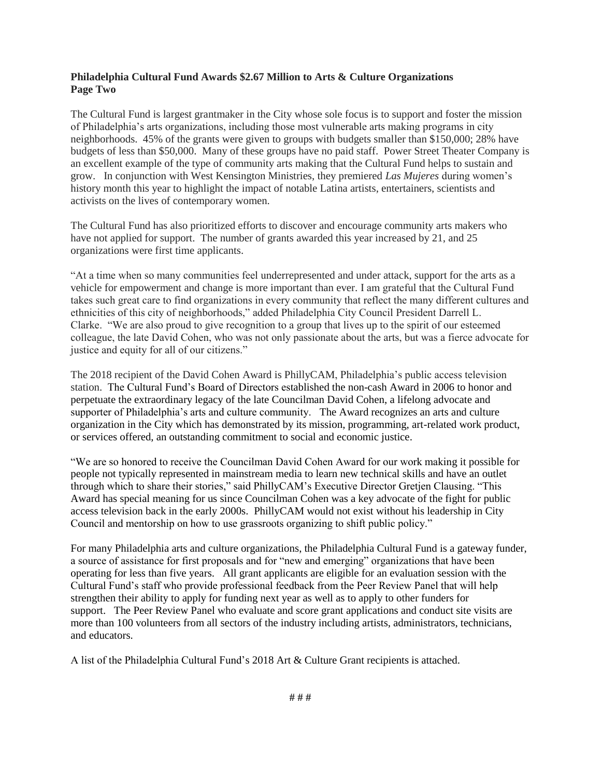## **Philadelphia Cultural Fund Awards \$2.67 Million to Arts & Culture Organizations Page Two**

The Cultural Fund is largest grantmaker in the City whose sole focus is to support and foster the mission of Philadelphia's arts organizations, including those most vulnerable arts making programs in city neighborhoods. 45% of the grants were given to groups with budgets smaller than \$150,000; 28% have budgets of less than \$50,000. Many of these groups have no paid staff. Power Street Theater Company is an excellent example of the type of community arts making that the Cultural Fund helps to sustain and grow. In conjunction with West Kensington Ministries, they premiered *Las Mujeres* during women's history month this year to highlight the impact of notable Latina artists, entertainers, scientists and activists on the lives of contemporary women.

The Cultural Fund has also prioritized efforts to discover and encourage community arts makers who have not applied for support. The number of grants awarded this year increased by 21, and 25 organizations were first time applicants.

"At a time when so many communities feel underrepresented and under attack, support for the arts as a vehicle for empowerment and change is more important than ever. I am grateful that the Cultural Fund takes such great care to find organizations in every community that reflect the many different cultures and ethnicities of this city of neighborhoods," added Philadelphia City Council President Darrell L. Clarke. "We are also proud to give recognition to a group that lives up to the spirit of our esteemed colleague, the late David Cohen, who was not only passionate about the arts, but was a fierce advocate for justice and equity for all of our citizens."

The 2018 recipient of the David Cohen Award is PhillyCAM, Philadelphia's public access television station. The Cultural Fund's Board of Directors established the non-cash Award in 2006 to honor and perpetuate the extraordinary legacy of the late Councilman David Cohen, a lifelong advocate and supporter of Philadelphia's arts and culture community. The Award recognizes an arts and culture organization in the City which has demonstrated by its mission, programming, art-related work product, or services offered, an outstanding commitment to social and economic justice.

"We are so honored to receive the Councilman David Cohen Award for our work making it possible for people not typically represented in mainstream media to learn new technical skills and have an outlet through which to share their stories," said PhillyCAM's Executive Director Gretjen Clausing. "This Award has special meaning for us since Councilman Cohen was a key advocate of the fight for public access television back in the early 2000s. PhillyCAM would not exist without his leadership in City Council and mentorship on how to use grassroots organizing to shift public policy."

For many Philadelphia arts and culture organizations, the Philadelphia Cultural Fund is a gateway funder, a source of assistance for first proposals and for "new and emerging" organizations that have been operating for less than five years. All grant applicants are eligible for an evaluation session with the Cultural Fund's staff who provide professional feedback from the Peer Review Panel that will help strengthen their ability to apply for funding next year as well as to apply to other funders for support. The Peer Review Panel who evaluate and score grant applications and conduct site visits are more than 100 volunteers from all sectors of the industry including artists, administrators, technicians, and educators.

A list of the Philadelphia Cultural Fund's 2018 Art & Culture Grant recipients is attached.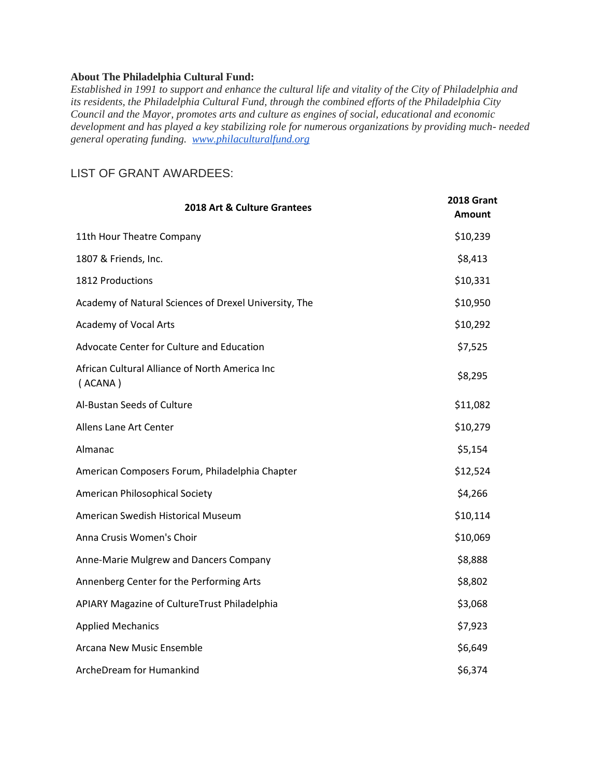## **About The Philadelphia Cultural Fund:**

*Established in 1991 to support and enhance the cultural life and vitality of the City of Philadelphia and its residents, the Philadelphia Cultural Fund, through the combined efforts of the Philadelphia City Council and the Mayor, promotes arts and culture as engines of social, educational and economic development and has played a key stabilizing role for numerous organizations by providing much- needed general operating funding. [www.philaculturalfund.org](http://www.philaculturalfund.org/)*

## LIST OF GRANT AWARDEES:

| 2018 Art & Culture Grantees                               | 2018 Grant<br><b>Amount</b> |
|-----------------------------------------------------------|-----------------------------|
| 11th Hour Theatre Company                                 | \$10,239                    |
| 1807 & Friends, Inc.                                      | \$8,413                     |
| 1812 Productions                                          | \$10,331                    |
| Academy of Natural Sciences of Drexel University, The     | \$10,950                    |
| Academy of Vocal Arts                                     | \$10,292                    |
| Advocate Center for Culture and Education                 | \$7,525                     |
| African Cultural Alliance of North America Inc<br>(ACANA) | \$8,295                     |
| Al-Bustan Seeds of Culture                                | \$11,082                    |
| Allens Lane Art Center                                    | \$10,279                    |
| Almanac                                                   | \$5,154                     |
| American Composers Forum, Philadelphia Chapter            | \$12,524                    |
| <b>American Philosophical Society</b>                     | \$4,266                     |
| American Swedish Historical Museum                        | \$10,114                    |
| Anna Crusis Women's Choir                                 | \$10,069                    |
| Anne-Marie Mulgrew and Dancers Company                    | \$8,888                     |
| Annenberg Center for the Performing Arts                  | \$8,802                     |
| APIARY Magazine of CultureTrust Philadelphia              | \$3,068                     |
| <b>Applied Mechanics</b>                                  | \$7,923                     |
| Arcana New Music Ensemble                                 | \$6,649                     |
| ArcheDream for Humankind                                  | \$6,374                     |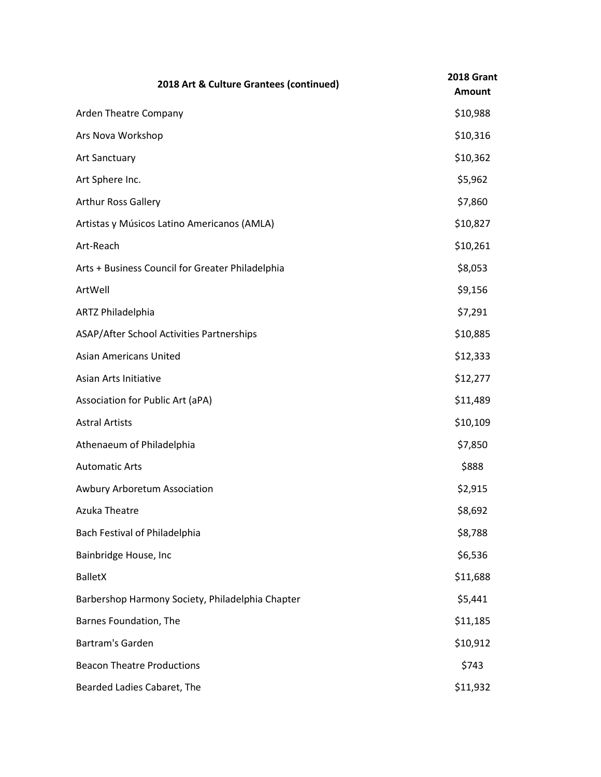| 2018 Art & Culture Grantees (continued)          | 2018 Grant<br><b>Amount</b> |
|--------------------------------------------------|-----------------------------|
| Arden Theatre Company                            | \$10,988                    |
| Ars Nova Workshop                                | \$10,316                    |
| <b>Art Sanctuary</b>                             | \$10,362                    |
| Art Sphere Inc.                                  | \$5,962                     |
| Arthur Ross Gallery                              | \$7,860                     |
| Artistas y Músicos Latino Americanos (AMLA)      | \$10,827                    |
| Art-Reach                                        | \$10,261                    |
| Arts + Business Council for Greater Philadelphia | \$8,053                     |
| ArtWell                                          | \$9,156                     |
| ARTZ Philadelphia                                | \$7,291                     |
| ASAP/After School Activities Partnerships        | \$10,885                    |
| <b>Asian Americans United</b>                    | \$12,333                    |
| Asian Arts Initiative                            | \$12,277                    |
| Association for Public Art (aPA)                 | \$11,489                    |
| <b>Astral Artists</b>                            | \$10,109                    |
| Athenaeum of Philadelphia                        | \$7,850                     |
| <b>Automatic Arts</b>                            | \$888                       |
| Awbury Arboretum Association                     | \$2,915                     |
| Azuka Theatre                                    | \$8,692                     |
| Bach Festival of Philadelphia                    | \$8,788                     |
| Bainbridge House, Inc                            | \$6,536                     |
| <b>BalletX</b>                                   | \$11,688                    |
| Barbershop Harmony Society, Philadelphia Chapter | \$5,441                     |
| Barnes Foundation, The                           | \$11,185                    |
| Bartram's Garden                                 | \$10,912                    |
| <b>Beacon Theatre Productions</b>                | \$743                       |
| Bearded Ladies Cabaret, The                      | \$11,932                    |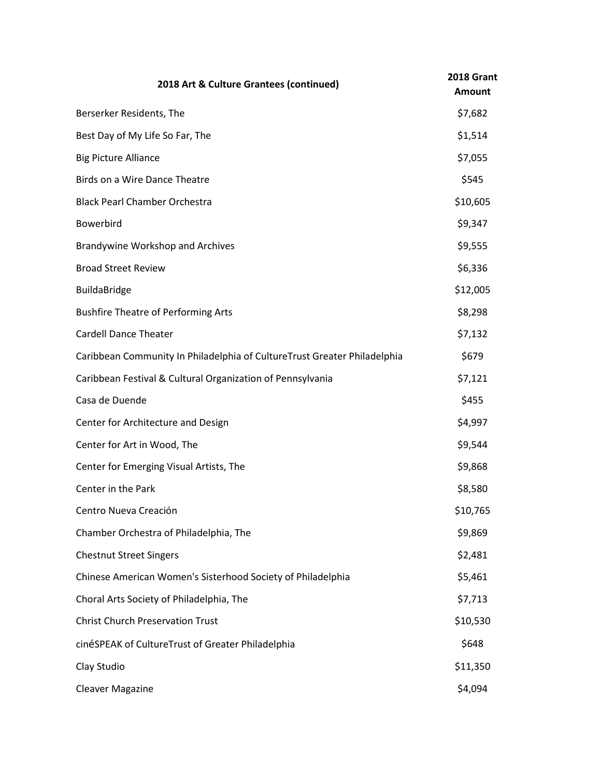| 2018 Art & Culture Grantees (continued)                                  | 2018 Grant<br><b>Amount</b> |
|--------------------------------------------------------------------------|-----------------------------|
| Berserker Residents, The                                                 | \$7,682                     |
| Best Day of My Life So Far, The                                          | \$1,514                     |
| <b>Big Picture Alliance</b>                                              | \$7,055                     |
| Birds on a Wire Dance Theatre                                            | \$545                       |
| <b>Black Pearl Chamber Orchestra</b>                                     | \$10,605                    |
| Bowerbird                                                                | \$9,347                     |
| <b>Brandywine Workshop and Archives</b>                                  | \$9,555                     |
| <b>Broad Street Review</b>                                               | \$6,336                     |
| <b>BuildaBridge</b>                                                      | \$12,005                    |
| <b>Bushfire Theatre of Performing Arts</b>                               | \$8,298                     |
| <b>Cardell Dance Theater</b>                                             | \$7,132                     |
| Caribbean Community In Philadelphia of CultureTrust Greater Philadelphia | \$679                       |
| Caribbean Festival & Cultural Organization of Pennsylvania               | \$7,121                     |
| Casa de Duende                                                           | \$455                       |
| Center for Architecture and Design                                       | \$4,997                     |
| Center for Art in Wood, The                                              | \$9,544                     |
| Center for Emerging Visual Artists, The                                  | \$9,868                     |
| Center in the Park                                                       | \$8,580                     |
| Centro Nueva Creación                                                    | \$10,765                    |
| Chamber Orchestra of Philadelphia, The                                   | \$9,869                     |
| <b>Chestnut Street Singers</b>                                           | \$2,481                     |
| Chinese American Women's Sisterhood Society of Philadelphia              | \$5,461                     |
| Choral Arts Society of Philadelphia, The                                 | \$7,713                     |
| <b>Christ Church Preservation Trust</b>                                  | \$10,530                    |
| cinéSPEAK of CultureTrust of Greater Philadelphia                        | \$648                       |
| Clay Studio                                                              | \$11,350                    |
| <b>Cleaver Magazine</b>                                                  | \$4,094                     |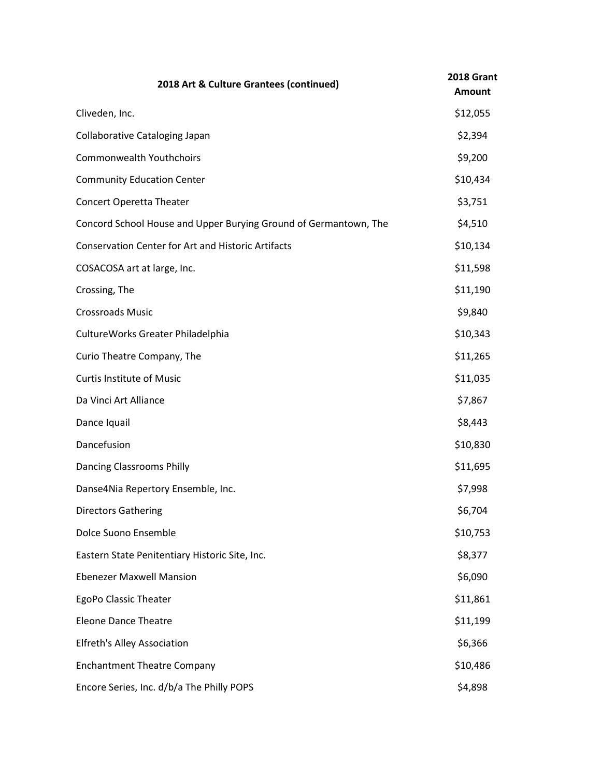| 2018 Art & Culture Grantees (continued)                          | 2018 Grant<br><b>Amount</b> |
|------------------------------------------------------------------|-----------------------------|
| Cliveden, Inc.                                                   | \$12,055                    |
| Collaborative Cataloging Japan                                   | \$2,394                     |
| <b>Commonwealth Youthchoirs</b>                                  | \$9,200                     |
| <b>Community Education Center</b>                                | \$10,434                    |
| <b>Concert Operetta Theater</b>                                  | \$3,751                     |
| Concord School House and Upper Burying Ground of Germantown, The | \$4,510                     |
| <b>Conservation Center for Art and Historic Artifacts</b>        | \$10,134                    |
| COSACOSA art at large, Inc.                                      | \$11,598                    |
| Crossing, The                                                    | \$11,190                    |
| <b>Crossroads Music</b>                                          | \$9,840                     |
| CultureWorks Greater Philadelphia                                | \$10,343                    |
| Curio Theatre Company, The                                       | \$11,265                    |
| <b>Curtis Institute of Music</b>                                 | \$11,035                    |
| Da Vinci Art Alliance                                            | \$7,867                     |
| Dance Iquail                                                     | \$8,443                     |
| Dancefusion                                                      | \$10,830                    |
| <b>Dancing Classrooms Philly</b>                                 | \$11,695                    |
| Danse4Nia Repertory Ensemble, Inc.                               | \$7,998                     |
| <b>Directors Gathering</b>                                       | \$6,704                     |
| Dolce Suono Ensemble                                             | \$10,753                    |
| Eastern State Penitentiary Historic Site, Inc.                   | \$8,377                     |
| <b>Ebenezer Maxwell Mansion</b>                                  | \$6,090                     |
| EgoPo Classic Theater                                            | \$11,861                    |
| <b>Eleone Dance Theatre</b>                                      | \$11,199                    |
| <b>Elfreth's Alley Association</b>                               | \$6,366                     |
| <b>Enchantment Theatre Company</b>                               | \$10,486                    |
| Encore Series, Inc. d/b/a The Philly POPS                        | \$4,898                     |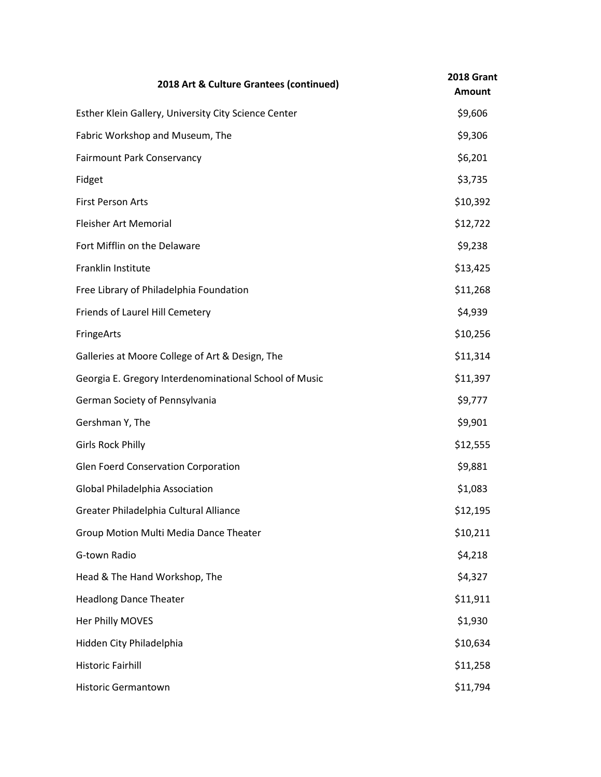| 2018 Art & Culture Grantees (continued)                | 2018 Grant<br><b>Amount</b> |
|--------------------------------------------------------|-----------------------------|
| Esther Klein Gallery, University City Science Center   | \$9,606                     |
| Fabric Workshop and Museum, The                        | \$9,306                     |
| <b>Fairmount Park Conservancy</b>                      | \$6,201                     |
| Fidget                                                 | \$3,735                     |
| <b>First Person Arts</b>                               | \$10,392                    |
| Fleisher Art Memorial                                  | \$12,722                    |
| Fort Mifflin on the Delaware                           | \$9,238                     |
| Franklin Institute                                     | \$13,425                    |
| Free Library of Philadelphia Foundation                | \$11,268                    |
| Friends of Laurel Hill Cemetery                        | \$4,939                     |
| FringeArts                                             | \$10,256                    |
| Galleries at Moore College of Art & Design, The        | \$11,314                    |
| Georgia E. Gregory Interdenominational School of Music | \$11,397                    |
| German Society of Pennsylvania                         | \$9,777                     |
| Gershman Y, The                                        | \$9,901                     |
| <b>Girls Rock Philly</b>                               | \$12,555                    |
| Glen Foerd Conservation Corporation                    | \$9,881                     |
| Global Philadelphia Association                        | \$1,083                     |
| Greater Philadelphia Cultural Alliance                 | \$12,195                    |
| Group Motion Multi Media Dance Theater                 | \$10,211                    |
| G-town Radio                                           | \$4,218                     |
| Head & The Hand Workshop, The                          | \$4,327                     |
| <b>Headlong Dance Theater</b>                          | \$11,911                    |
| Her Philly MOVES                                       | \$1,930                     |
| Hidden City Philadelphia                               | \$10,634                    |
| <b>Historic Fairhill</b>                               | \$11,258                    |
| <b>Historic Germantown</b>                             | \$11,794                    |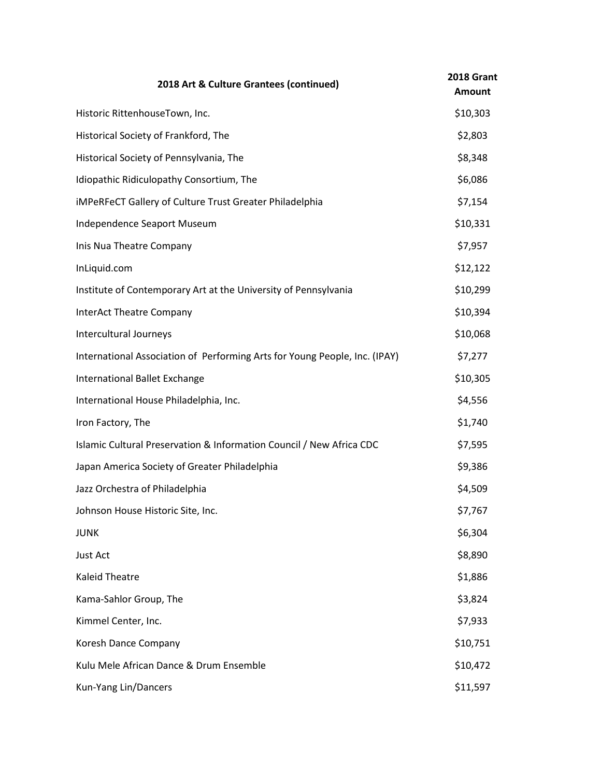| 2018 Art & Culture Grantees (continued)                                    | 2018 Grant<br><b>Amount</b> |
|----------------------------------------------------------------------------|-----------------------------|
| Historic RittenhouseTown, Inc.                                             | \$10,303                    |
| Historical Society of Frankford, The                                       | \$2,803                     |
| Historical Society of Pennsylvania, The                                    | \$8,348                     |
| Idiopathic Ridiculopathy Consortium, The                                   | \$6,086                     |
| iMPeRFeCT Gallery of Culture Trust Greater Philadelphia                    | \$7,154                     |
| Independence Seaport Museum                                                | \$10,331                    |
| Inis Nua Theatre Company                                                   | \$7,957                     |
| InLiquid.com                                                               | \$12,122                    |
| Institute of Contemporary Art at the University of Pennsylvania            | \$10,299                    |
| <b>InterAct Theatre Company</b>                                            | \$10,394                    |
| Intercultural Journeys                                                     | \$10,068                    |
| International Association of Performing Arts for Young People, Inc. (IPAY) | \$7,277                     |
| International Ballet Exchange                                              | \$10,305                    |
| International House Philadelphia, Inc.                                     | \$4,556                     |
| Iron Factory, The                                                          | \$1,740                     |
| Islamic Cultural Preservation & Information Council / New Africa CDC       | \$7,595                     |
| Japan America Society of Greater Philadelphia                              | \$9,386                     |
| Jazz Orchestra of Philadelphia                                             | \$4,509                     |
| Johnson House Historic Site, Inc.                                          | \$7,767                     |
| <b>JUNK</b>                                                                | \$6,304                     |
| Just Act                                                                   | \$8,890                     |
| <b>Kaleid Theatre</b>                                                      | \$1,886                     |
| Kama-Sahlor Group, The                                                     | \$3,824                     |
| Kimmel Center, Inc.                                                        | \$7,933                     |
| Koresh Dance Company                                                       | \$10,751                    |
| Kulu Mele African Dance & Drum Ensemble                                    | \$10,472                    |
| Kun-Yang Lin/Dancers                                                       | \$11,597                    |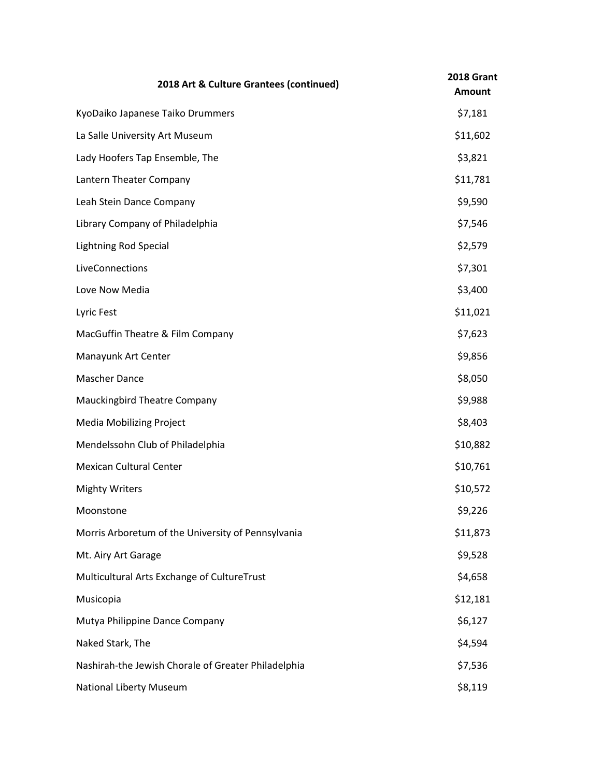| 2018 Art & Culture Grantees (continued)             | 2018 Grant<br><b>Amount</b> |
|-----------------------------------------------------|-----------------------------|
| KyoDaiko Japanese Taiko Drummers                    | \$7,181                     |
| La Salle University Art Museum                      | \$11,602                    |
| Lady Hoofers Tap Ensemble, The                      | \$3,821                     |
| Lantern Theater Company                             | \$11,781                    |
| Leah Stein Dance Company                            | \$9,590                     |
| Library Company of Philadelphia                     | \$7,546                     |
| <b>Lightning Rod Special</b>                        | \$2,579                     |
| LiveConnections                                     | \$7,301                     |
| Love Now Media                                      | \$3,400                     |
| Lyric Fest                                          | \$11,021                    |
| MacGuffin Theatre & Film Company                    | \$7,623                     |
| Manayunk Art Center                                 | \$9,856                     |
| Mascher Dance                                       | \$8,050                     |
| Mauckingbird Theatre Company                        | \$9,988                     |
| <b>Media Mobilizing Project</b>                     | \$8,403                     |
| Mendelssohn Club of Philadelphia                    | \$10,882                    |
| <b>Mexican Cultural Center</b>                      | \$10,761                    |
| <b>Mighty Writers</b>                               | \$10,572                    |
| Moonstone                                           | \$9,226                     |
| Morris Arboretum of the University of Pennsylvania  | \$11,873                    |
| Mt. Airy Art Garage                                 | \$9,528                     |
| Multicultural Arts Exchange of CultureTrust         | \$4,658                     |
| Musicopia                                           | \$12,181                    |
| Mutya Philippine Dance Company                      | \$6,127                     |
| Naked Stark, The                                    | \$4,594                     |
| Nashirah-the Jewish Chorale of Greater Philadelphia | \$7,536                     |
| <b>National Liberty Museum</b>                      | \$8,119                     |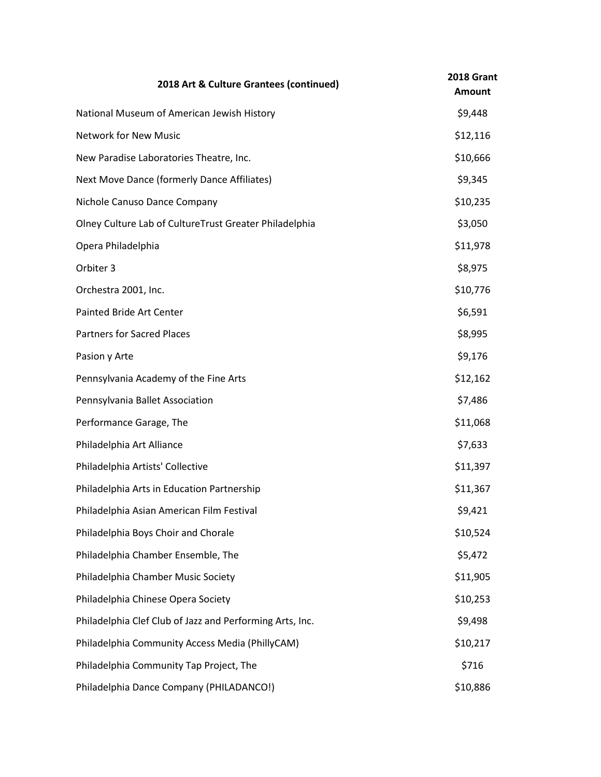| 2018 Art & Culture Grantees (continued)                  | <b>2018 Grant</b><br><b>Amount</b> |
|----------------------------------------------------------|------------------------------------|
| National Museum of American Jewish History               | \$9,448                            |
| <b>Network for New Music</b>                             | \$12,116                           |
| New Paradise Laboratories Theatre, Inc.                  | \$10,666                           |
| Next Move Dance (formerly Dance Affiliates)              | \$9,345                            |
| Nichole Canuso Dance Company                             | \$10,235                           |
| Olney Culture Lab of CultureTrust Greater Philadelphia   | \$3,050                            |
| Opera Philadelphia                                       | \$11,978                           |
| Orbiter 3                                                | \$8,975                            |
| Orchestra 2001, Inc.                                     | \$10,776                           |
| Painted Bride Art Center                                 | \$6,591                            |
| <b>Partners for Sacred Places</b>                        | \$8,995                            |
| Pasion y Arte                                            | \$9,176                            |
| Pennsylvania Academy of the Fine Arts                    | \$12,162                           |
| Pennsylvania Ballet Association                          | \$7,486                            |
| Performance Garage, The                                  | \$11,068                           |
| Philadelphia Art Alliance                                | \$7,633                            |
| Philadelphia Artists' Collective                         | \$11,397                           |
| Philadelphia Arts in Education Partnership               | \$11,367                           |
| Philadelphia Asian American Film Festival                | \$9,421                            |
| Philadelphia Boys Choir and Chorale                      | \$10,524                           |
| Philadelphia Chamber Ensemble, The                       | \$5,472                            |
| Philadelphia Chamber Music Society                       | \$11,905                           |
| Philadelphia Chinese Opera Society                       | \$10,253                           |
| Philadelphia Clef Club of Jazz and Performing Arts, Inc. | \$9,498                            |
| Philadelphia Community Access Media (PhillyCAM)          | \$10,217                           |
| Philadelphia Community Tap Project, The                  | \$716                              |
| Philadelphia Dance Company (PHILADANCO!)                 | \$10,886                           |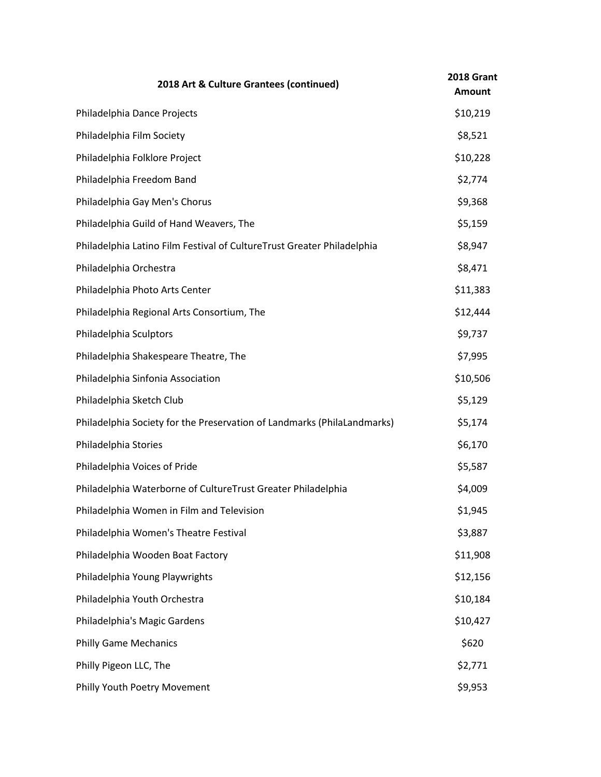| 2018 Art & Culture Grantees (continued)                                 | 2018 Grant<br><b>Amount</b> |
|-------------------------------------------------------------------------|-----------------------------|
| Philadelphia Dance Projects                                             | \$10,219                    |
| Philadelphia Film Society                                               | \$8,521                     |
| Philadelphia Folklore Project                                           | \$10,228                    |
| Philadelphia Freedom Band                                               | \$2,774                     |
| Philadelphia Gay Men's Chorus                                           | \$9,368                     |
| Philadelphia Guild of Hand Weavers, The                                 | \$5,159                     |
| Philadelphia Latino Film Festival of CultureTrust Greater Philadelphia  | \$8,947                     |
| Philadelphia Orchestra                                                  | \$8,471                     |
| Philadelphia Photo Arts Center                                          | \$11,383                    |
| Philadelphia Regional Arts Consortium, The                              | \$12,444                    |
| Philadelphia Sculptors                                                  | \$9,737                     |
| Philadelphia Shakespeare Theatre, The                                   | \$7,995                     |
| Philadelphia Sinfonia Association                                       | \$10,506                    |
| Philadelphia Sketch Club                                                | \$5,129                     |
| Philadelphia Society for the Preservation of Landmarks (PhilaLandmarks) | \$5,174                     |
| Philadelphia Stories                                                    | \$6,170                     |
| Philadelphia Voices of Pride                                            | \$5,587                     |
| Philadelphia Waterborne of CultureTrust Greater Philadelphia            | \$4,009                     |
| Philadelphia Women in Film and Television                               | \$1,945                     |
| Philadelphia Women's Theatre Festival                                   | \$3,887                     |
| Philadelphia Wooden Boat Factory                                        | \$11,908                    |
| Philadelphia Young Playwrights                                          | \$12,156                    |
| Philadelphia Youth Orchestra                                            | \$10,184                    |
| Philadelphia's Magic Gardens                                            | \$10,427                    |
| <b>Philly Game Mechanics</b>                                            | \$620                       |
| Philly Pigeon LLC, The                                                  | \$2,771                     |
| Philly Youth Poetry Movement                                            | \$9,953                     |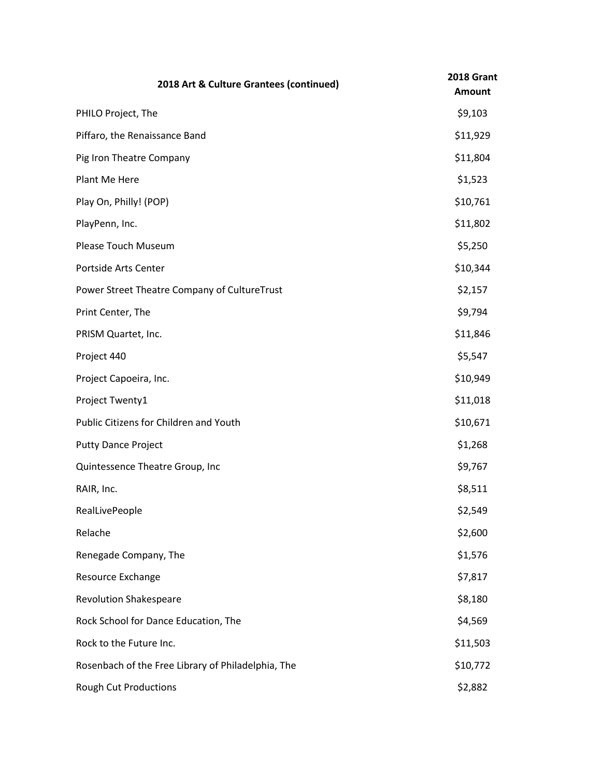| 2018 Art & Culture Grantees (continued)            | 2018 Grant<br><b>Amount</b> |
|----------------------------------------------------|-----------------------------|
| PHILO Project, The                                 | \$9,103                     |
| Piffaro, the Renaissance Band                      | \$11,929                    |
| Pig Iron Theatre Company                           | \$11,804                    |
| Plant Me Here                                      | \$1,523                     |
| Play On, Philly! (POP)                             | \$10,761                    |
| PlayPenn, Inc.                                     | \$11,802                    |
| Please Touch Museum                                | \$5,250                     |
| Portside Arts Center                               | \$10,344                    |
| Power Street Theatre Company of CultureTrust       | \$2,157                     |
| Print Center, The                                  | \$9,794                     |
| PRISM Quartet, Inc.                                | \$11,846                    |
| Project 440                                        | \$5,547                     |
| Project Capoeira, Inc.                             | \$10,949                    |
| Project Twenty1                                    | \$11,018                    |
| Public Citizens for Children and Youth             | \$10,671                    |
| <b>Putty Dance Project</b>                         | \$1,268                     |
| Quintessence Theatre Group, Inc                    | \$9,767                     |
| RAIR, Inc.                                         | \$8,511                     |
| RealLivePeople                                     | \$2,549                     |
| Relache                                            | \$2,600                     |
| Renegade Company, The                              | \$1,576                     |
| Resource Exchange                                  | \$7,817                     |
| <b>Revolution Shakespeare</b>                      | \$8,180                     |
| Rock School for Dance Education, The               | \$4,569                     |
| Rock to the Future Inc.                            | \$11,503                    |
| Rosenbach of the Free Library of Philadelphia, The | \$10,772                    |
| <b>Rough Cut Productions</b>                       | \$2,882                     |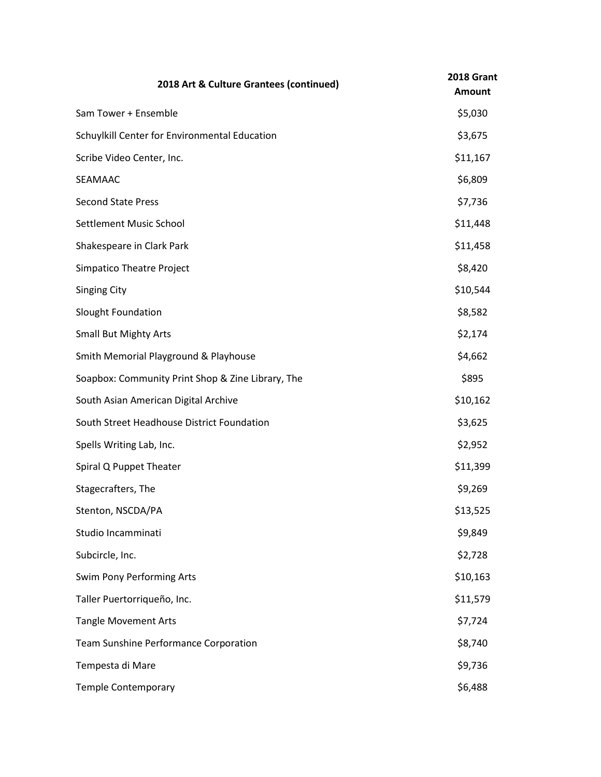| 2018 Art & Culture Grantees (continued)           | 2018 Grant<br><b>Amount</b> |
|---------------------------------------------------|-----------------------------|
| Sam Tower + Ensemble                              | \$5,030                     |
| Schuylkill Center for Environmental Education     | \$3,675                     |
| Scribe Video Center, Inc.                         | \$11,167                    |
| SEAMAAC                                           | \$6,809                     |
| <b>Second State Press</b>                         | \$7,736                     |
| Settlement Music School                           | \$11,448                    |
| Shakespeare in Clark Park                         | \$11,458                    |
| <b>Simpatico Theatre Project</b>                  | \$8,420                     |
| <b>Singing City</b>                               | \$10,544                    |
| Slought Foundation                                | \$8,582                     |
| <b>Small But Mighty Arts</b>                      | \$2,174                     |
| Smith Memorial Playground & Playhouse             | \$4,662                     |
| Soapbox: Community Print Shop & Zine Library, The | \$895                       |
| South Asian American Digital Archive              | \$10,162                    |
| South Street Headhouse District Foundation        | \$3,625                     |
| Spells Writing Lab, Inc.                          | \$2,952                     |
| Spiral Q Puppet Theater                           | \$11,399                    |
| Stagecrafters, The                                | \$9,269                     |
| Stenton, NSCDA/PA                                 | \$13,525                    |
| Studio Incamminati                                | \$9,849                     |
| Subcircle, Inc.                                   | \$2,728                     |
| Swim Pony Performing Arts                         | \$10,163                    |
| Taller Puertorriqueño, Inc.                       | \$11,579                    |
| <b>Tangle Movement Arts</b>                       | \$7,724                     |
| Team Sunshine Performance Corporation             | \$8,740                     |
| Tempesta di Mare                                  | \$9,736                     |
| Temple Contemporary                               | \$6,488                     |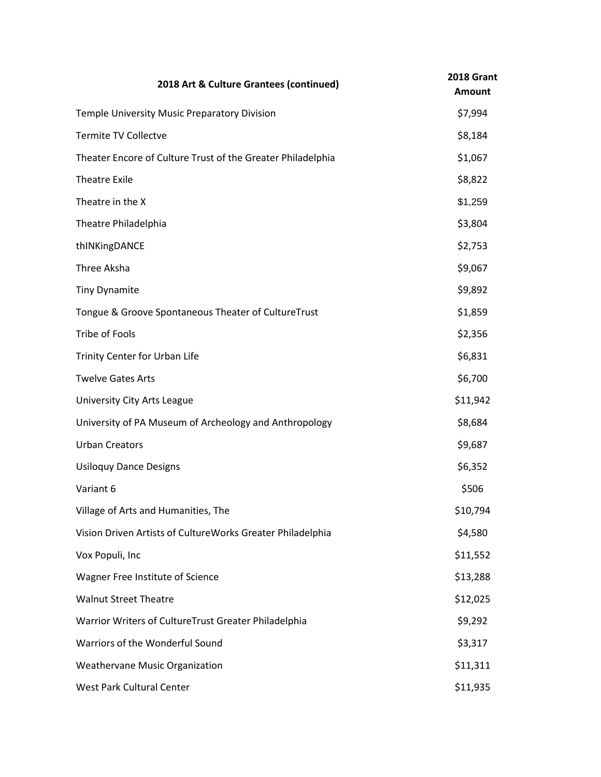| 2018 Art & Culture Grantees (continued)                     | 2018 Grant<br><b>Amount</b> |
|-------------------------------------------------------------|-----------------------------|
| Temple University Music Preparatory Division                | \$7,994                     |
| <b>Termite TV Collectve</b>                                 | \$8,184                     |
| Theater Encore of Culture Trust of the Greater Philadelphia | \$1,067                     |
| <b>Theatre Exile</b>                                        | \$8,822                     |
| Theatre in the X                                            | \$1,259                     |
| Theatre Philadelphia                                        | \$3,804                     |
| thINKingDANCE                                               | \$2,753                     |
| Three Aksha                                                 | \$9,067                     |
| <b>Tiny Dynamite</b>                                        | \$9,892                     |
| Tongue & Groove Spontaneous Theater of CultureTrust         | \$1,859                     |
| Tribe of Fools                                              | \$2,356                     |
| Trinity Center for Urban Life                               | \$6,831                     |
| <b>Twelve Gates Arts</b>                                    | \$6,700                     |
| University City Arts League                                 | \$11,942                    |
| University of PA Museum of Archeology and Anthropology      | \$8,684                     |
| <b>Urban Creators</b>                                       | \$9,687                     |
| <b>Usiloquy Dance Designs</b>                               | \$6,352                     |
| Variant 6                                                   | \$506                       |
| Village of Arts and Humanities, The                         | \$10,794                    |
| Vision Driven Artists of CultureWorks Greater Philadelphia  | \$4,580                     |
| Vox Populi, Inc                                             | \$11,552                    |
| Wagner Free Institute of Science                            | \$13,288                    |
| <b>Walnut Street Theatre</b>                                | \$12,025                    |
| Warrior Writers of CultureTrust Greater Philadelphia        | \$9,292                     |
| Warriors of the Wonderful Sound                             | \$3,317                     |
| Weathervane Music Organization                              | \$11,311                    |
| West Park Cultural Center                                   | \$11,935                    |